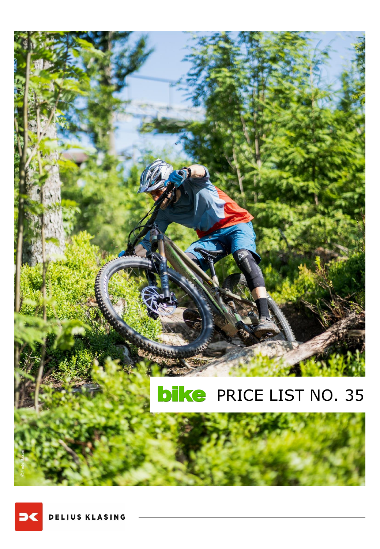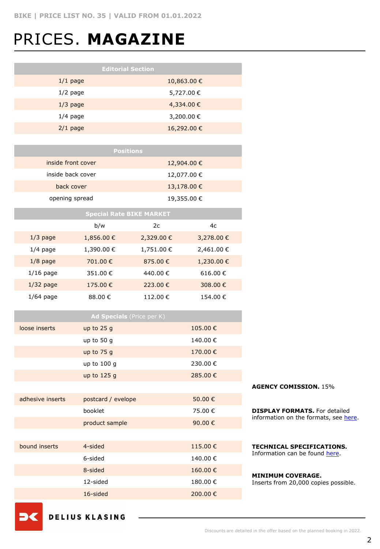### PRICES. **MAGAZINE**

| <b>Positions</b>   |             |
|--------------------|-------------|
| inside front cover | 12,904.00 € |
| inside back cover  | 12,077.00 € |
| back cover         | 13,178.00 € |
| opening spread     | 19,355.00 € |

| <b>Special Rate BIKE MARKET</b> |                |              |            |  |
|---------------------------------|----------------|--------------|------------|--|
|                                 | b/w            | 2c           | 4c         |  |
| $1/3$ page                      | $1,856.00 \in$ | 2,329.00 €   | 3,278.00 € |  |
| $1/4$ page                      | 1,390.00 €     | 1,751.00 €   | 2,461.00 € |  |
| $1/8$ page                      | 701.00€        | 875.00 $\in$ | 1,230.00 € |  |
| $1/16$ page                     | 351.00 €       | 440.00 €     | 616.00 €   |  |
| $1/32$ page                     | 175.00 €       | 223.00 €     | 308.00 €   |  |
| $1/64$ page                     | 88.00 €        | 112.00€      | 154.00 €   |  |

|                  | Ad Specials (Price per K) |         |  |
|------------------|---------------------------|---------|--|
| loose inserts    | up to $25g$               | 105.00€ |  |
|                  | up to 50 g                | 140.00€ |  |
|                  | up to $75g$               | 170.00€ |  |
|                  | up to 100 g               | 230.00€ |  |
|                  | up to 125 g               | 285.00€ |  |
|                  |                           |         |  |
| adhesive inserts | postcard / evelope        | 50.00€  |  |
|                  | booklet                   | 75.00 € |  |
|                  | product sample            | 90.00€  |  |
|                  |                           |         |  |
| bound inserts    | 4-sided                   | 115.00€ |  |
|                  | 6-sided                   | 140.00€ |  |
|                  | 8-sided                   | 160.00€ |  |
|                  | 12-sided                  | 180.00€ |  |
|                  | 16-sided                  | 200.00€ |  |
|                  |                           |         |  |

**AGENCY COMISSION.** 15%

**DISPLAY FORMATS.** For detailed information on the formats, see [here.](https://www.dk-mediasales.de/print-formate)

**TECHNICAL SPECIFICATIONS.**  Information can be found [here](https://www.dk-mediasales.de/spezifikationen-print).

### **MINIMUM COVERAGE.** Inserts from 20,000 copies possible.

**DELIUS KLASING** 

**D**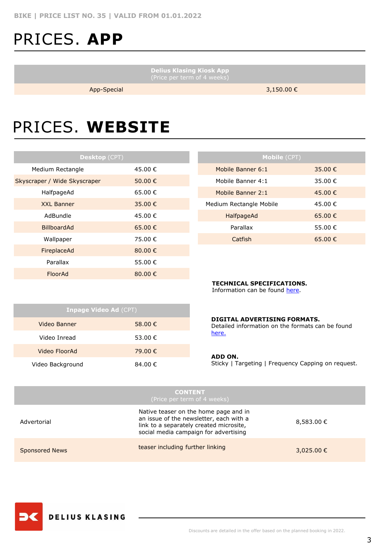# PRICES. **APP**

**Delius Klasing Kiosk App**

App-Special 3,150.00 €

# PRICES. **WEBSITE**

| Desktop (CPT)                |             |  |  |  |
|------------------------------|-------------|--|--|--|
| Medium Rectangle             | 45.00 €     |  |  |  |
| Skyscraper / Wide Skyscraper | 50.00 €     |  |  |  |
| HalfpageAd                   | 65.00€      |  |  |  |
| <b>XXL Banner</b>            | 35.00 €     |  |  |  |
| AdBundle                     | 45.00 €     |  |  |  |
| <b>BillboardAd</b>           | 65.00 €     |  |  |  |
| Wallpaper                    | 75.00 €     |  |  |  |
| FireplaceAd                  | 80.00€      |  |  |  |
| Parallax                     | 55.00 €     |  |  |  |
| FloorAd                      | 80.00 $\in$ |  |  |  |

| <b>Mobile (CPT)</b>     |         |
|-------------------------|---------|
| Mobile Banner 6:1       | 35.00 € |
| Mobile Banner 4:1       | 35.00 € |
| Mobile Banner 2:1       | 45.00 € |
| Medium Rectangle Mobile | 45.00 € |
| HalfpageAd              | 65.00 € |
| Parallax                | 55.00 € |
| Catfish                 | 65.00 € |

### **TECHNICAL SPECIFICATIONS.**

Information can be found [here](https://www.dk-mediasales.de/spezifikationen-digital).

| <b>Inpage Video Ad (CPT)</b> |         |  |  |  |
|------------------------------|---------|--|--|--|
| Video Banner                 | 58.00 € |  |  |  |
| Video Inread                 | 53.00 € |  |  |  |
| Video FloorAd                | 79.00 € |  |  |  |
| Video Background             | 84.00 € |  |  |  |

### **DIGITAL ADVERTISING FORMATS.**

Detailed information on the formats can be found [here.](https://www.dk-mediasales.de/digital-formate)

#### **ADD ON.**

Sticky | Targeting | Frequency Capping on request.

| <b>CONTENT.</b><br>(Price per term of 4 weeks) |                                                                                                                                                                      |                |  |
|------------------------------------------------|----------------------------------------------------------------------------------------------------------------------------------------------------------------------|----------------|--|
| Advertorial                                    | Native teaser on the home page and in<br>an issue of the newsletter, each with a<br>link to a separately created microsite,<br>social media campaign for advertising | $8,583.00 \in$ |  |
| <b>Sponsored News</b>                          | teaser including further linking                                                                                                                                     | 3,025.00 €     |  |

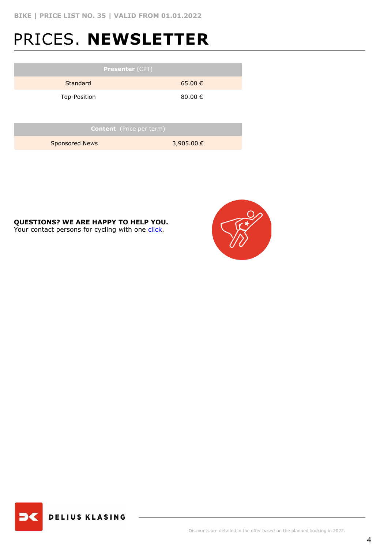# PRICES. **NEWSLETTER**

| <b>Presenter (CPT)</b>          |             |  |  |  |
|---------------------------------|-------------|--|--|--|
| <b>Standard</b>                 | $65.00 \in$ |  |  |  |
| Top-Position                    | 80.00 €     |  |  |  |
|                                 |             |  |  |  |
| <b>Content</b> (Price per term) |             |  |  |  |
| <b>Sponsored News</b>           | 3,905.00 €  |  |  |  |

**QUESTIONS? WE ARE HAPPY TO HELP YOU.** Your contact persons for cycling with one [click](https://www.dk-mediasales.de/kontakt-radsport).



**DELIUS KLASING**